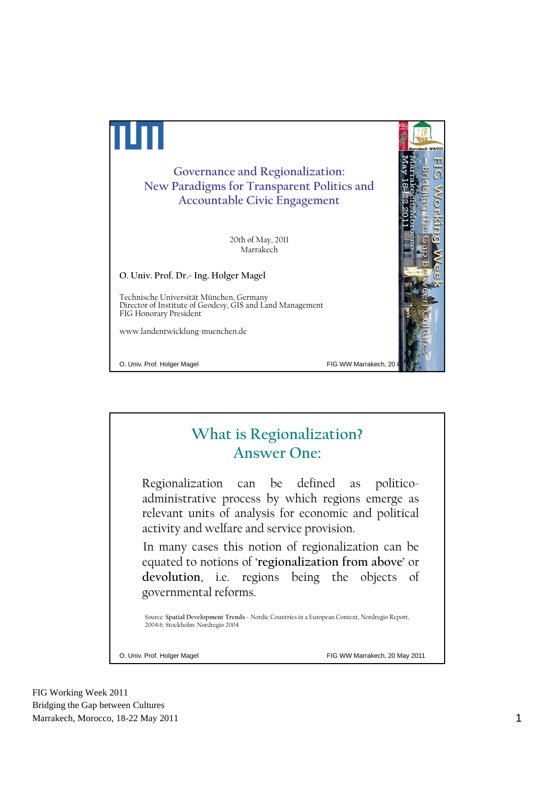

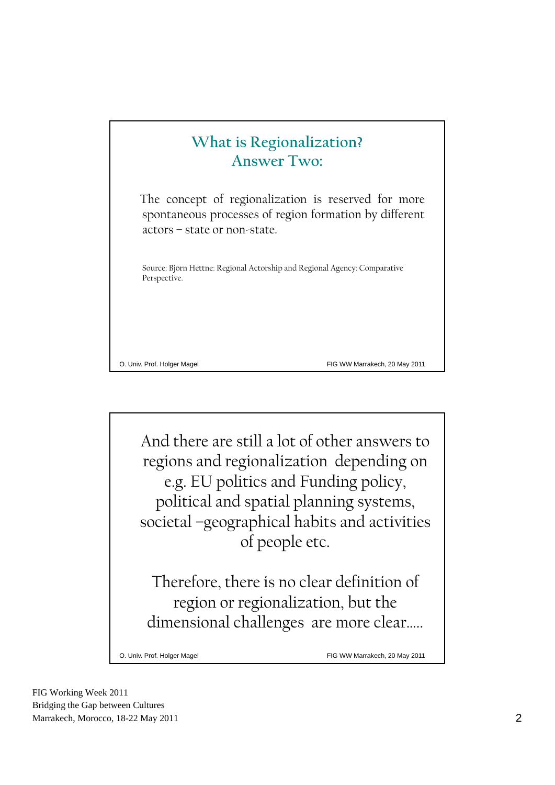## **What is Regionalization? Answer Two:**

The concept of regionalization is reserved for more spontaneous processes of region formation by different actors – state or non-state.

Source: Björn Hettne: Regional Actorship and Regional Agency: Comparative Perspective.

O. Univ. Prof. Holger Magel FIG WW Marrakech, 20 May 2011

And there are still a lot of other answers to regions and regionalization depending on e.g. EU politics and Funding policy, political and spatial planning systems, societal –geographical habits and activities of people etc.

Therefore, there is no clear definition of region or regionalization, but the dimensional challenges are more clear…..

O. Univ. Prof. Holger Magel FIG WW Marrakech, 20 May 2011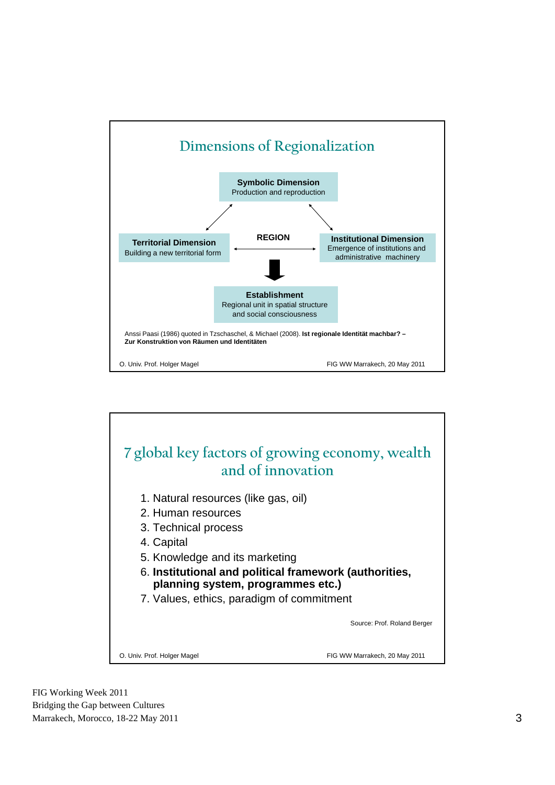

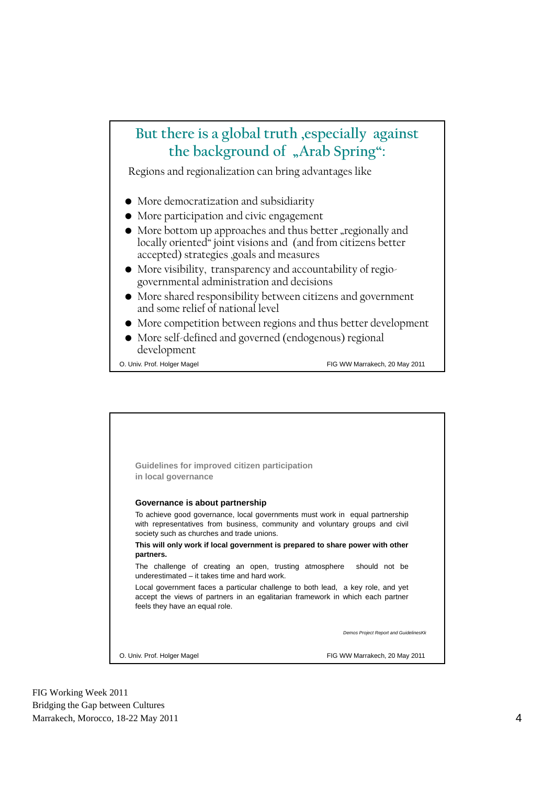## **But there is a global truth ,especially against**  the background of "Arab Spring":

Regions and regionalization can bring advantages like

- More democratization and subsidiarity
- More participation and civic engagement
- More bottom up approaches and thus better "regionally and locally oriented" joint visions and (and from citizens better accepted) strategies ,goals and measures
- More visibility, transparency and accountability of regiogovernmental administration and decisions
- More shared responsibility between citizens and government and some relief of national level
- More competition between regions and thus better development
- More self-defined and governed (endogenous) regional development

O. Univ. Prof. Holger Magel FIG WW Marrakech, 20 May 2011

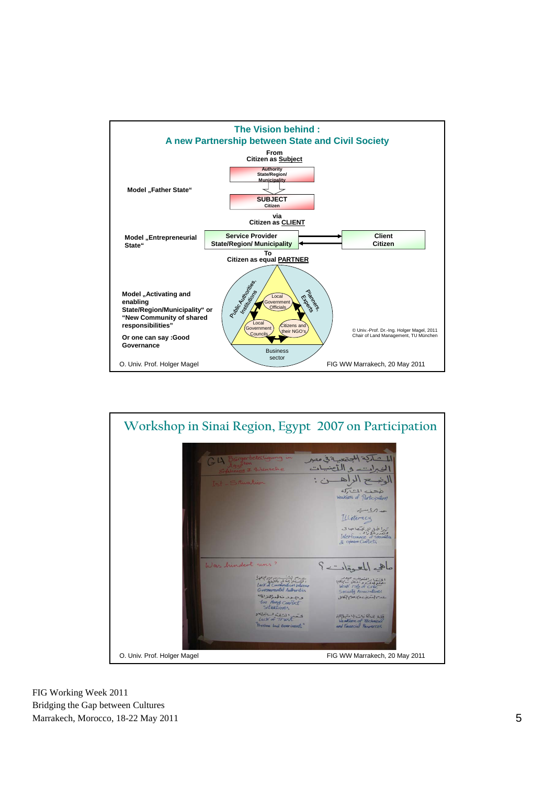

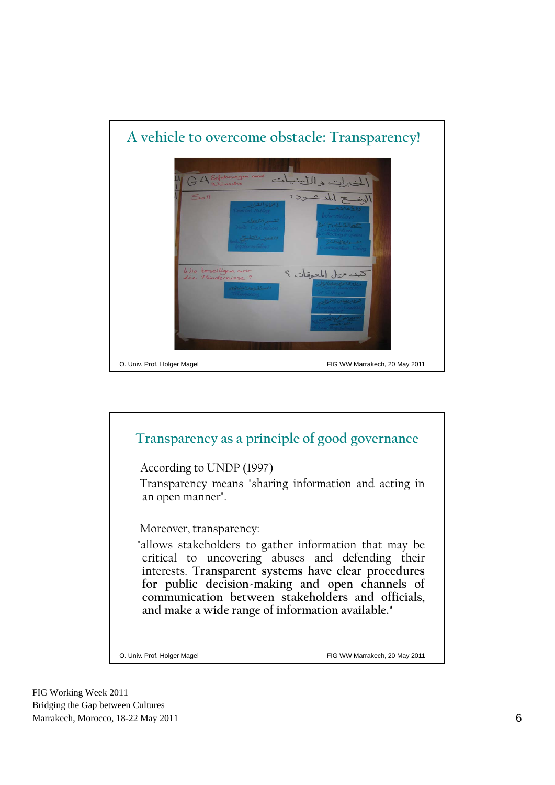

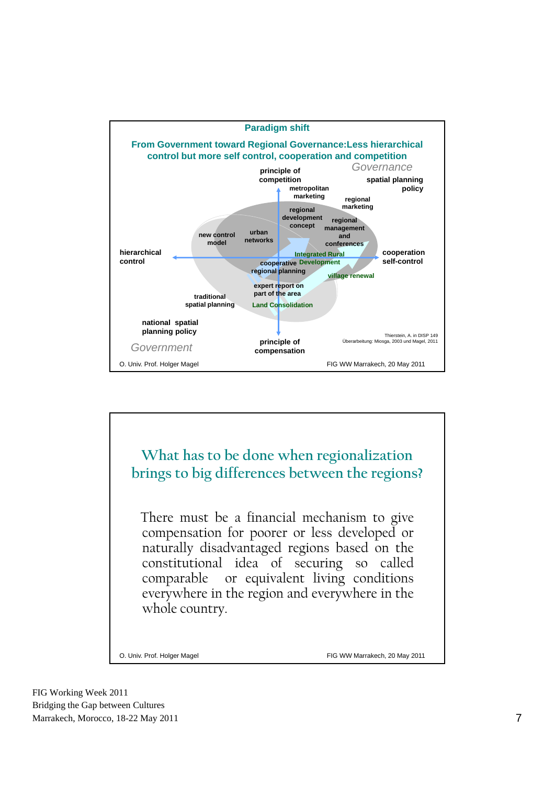

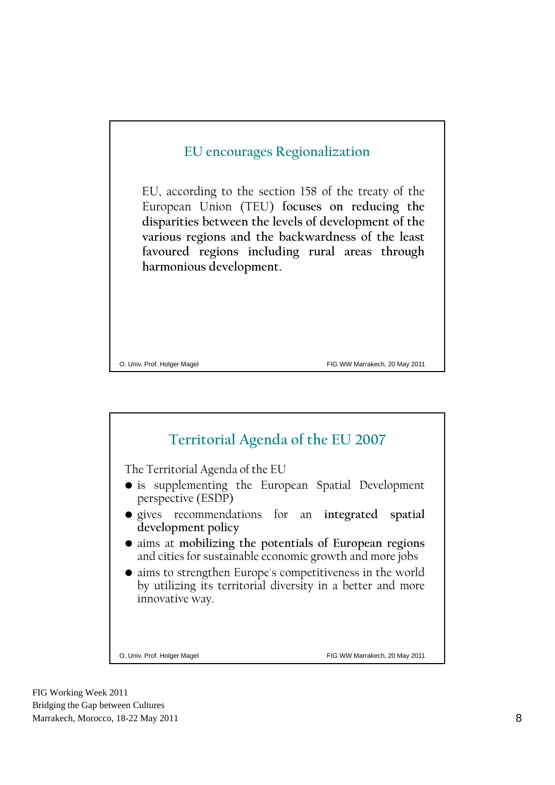

O. Univ. Prof. Holger Magel FIG WW Marrakech, 20 May 2011

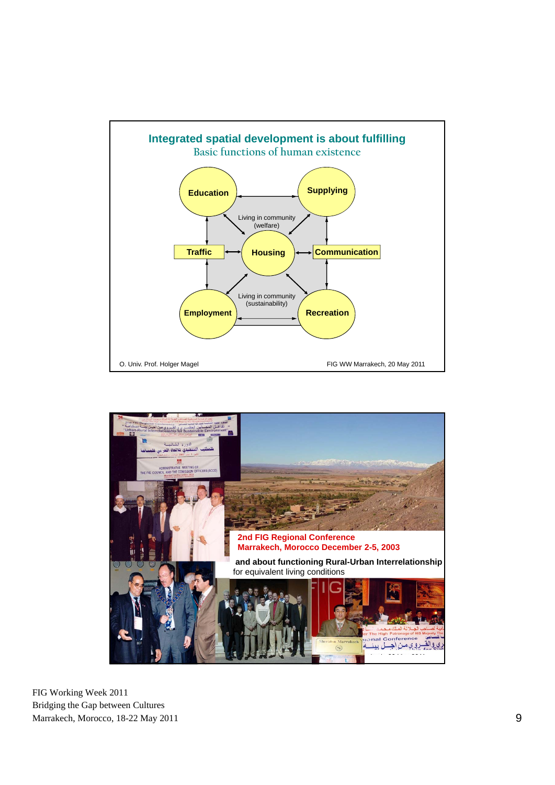

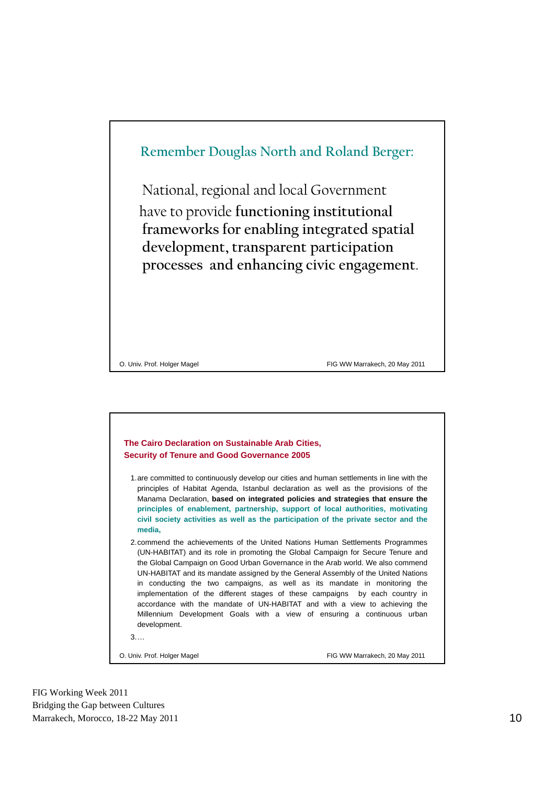



| 1. are committed to continuously develop our cities and human settlements in line with the |
|--------------------------------------------------------------------------------------------|
| principles of Habitat Agenda, Istanbul declaration as well as the provisions of the        |
| Manama Declaration, based on integrated policies and strategies that ensure the            |
| principles of enablement, partnership, support of local authorities, motivating            |
| civil society activities as well as the participation of the private sector and the        |
| media.                                                                                     |

2.commend the achievements of the United Nations Human Settlements Programmes (UN-HABITAT) and its role in promoting the Global Campaign for Secure Tenure and the Global Campaign on Good Urban Governance in the Arab world. We also commend UN-HABITAT and its mandate assigned by the General Assembly of the United Nations in conducting the two campaigns, as well as its mandate in monitoring the implementation of the different stages of these campaigns by each country in accordance with the mandate of UN-HABITAT and with a view to achieving the Millennium Development Goals with a view of ensuring a continuous urban development.

3.…

O. Univ. Prof. Holger Magel FIG WW Marrakech, 20 May 2011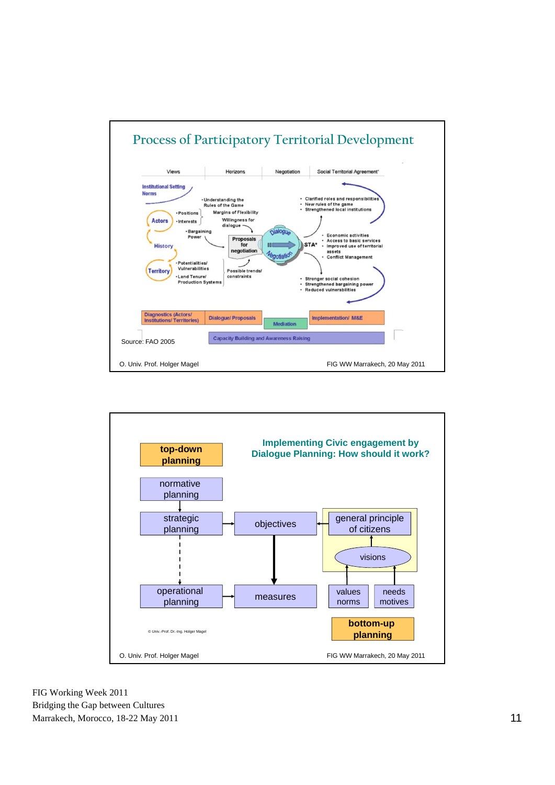

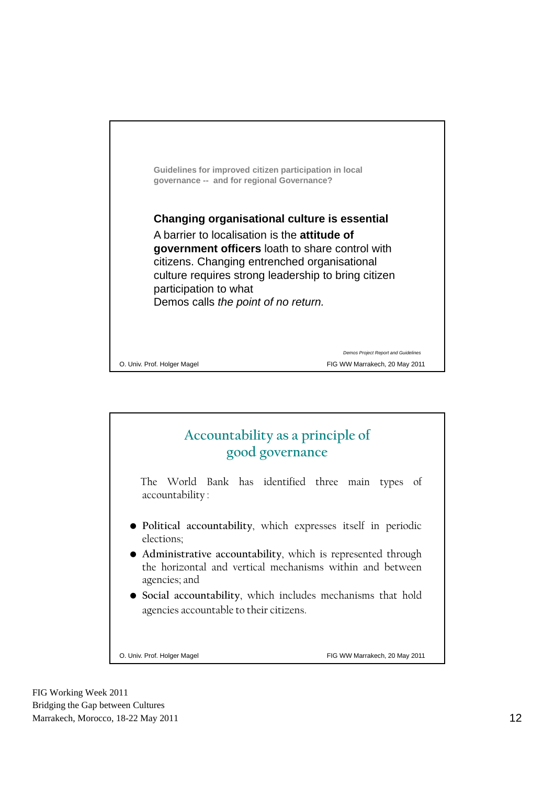

## **Accountability as a principle of good governance**

The World Bank has identified three main types of accountability :

- **Political accountability**, which expresses itself in periodic elections;
- **Administrative accountability**, which is represented through the horizontal and vertical mechanisms within and between agencies; and
- **Social accountability**, which includes mechanisms that hold agencies accountable to their citizens.

O. Univ. Prof. Holger Magel FIG WW Marrakech, 20 May 2011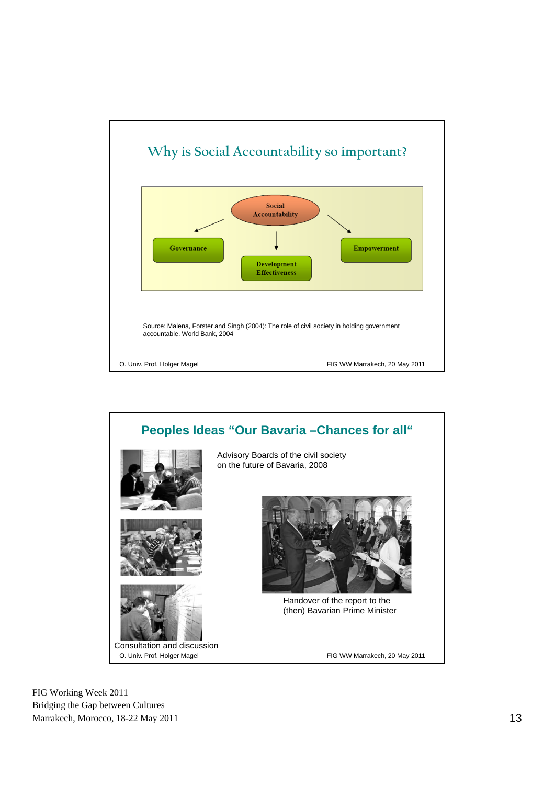

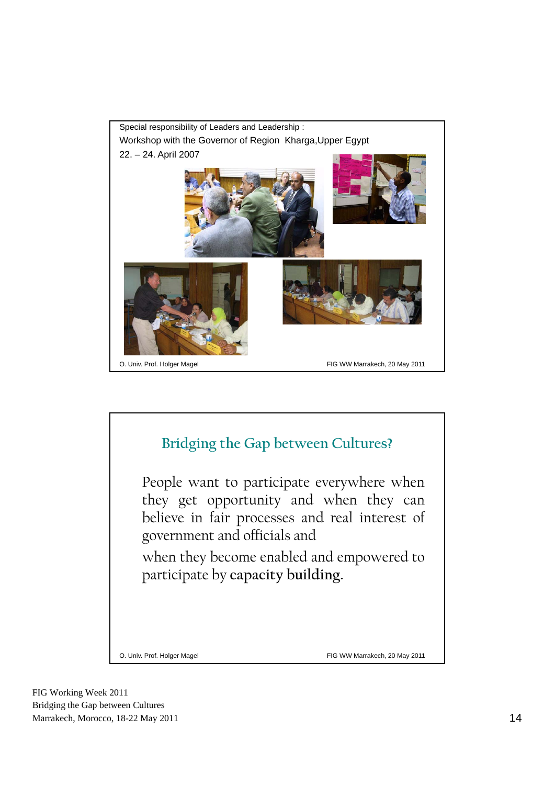

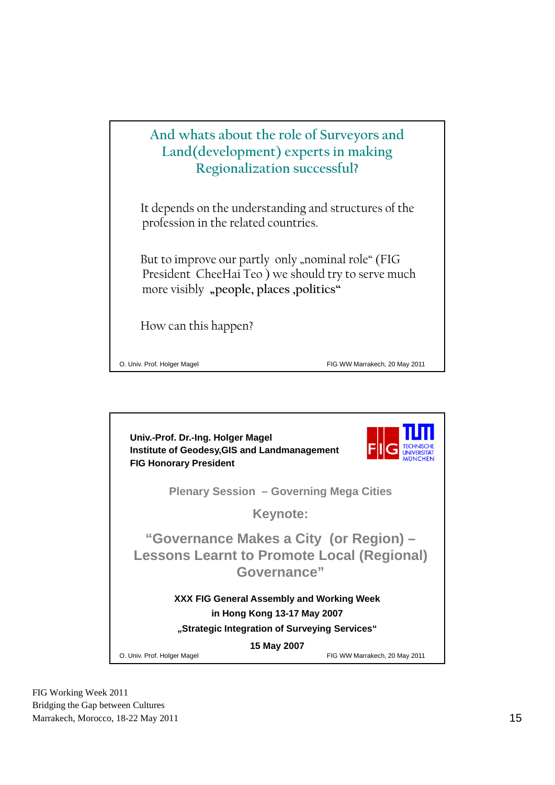## **And whats about the role of Surveyors and Land(development) experts in making Regionalization successful?**

It depends on the understanding and structures of the profession in the related countries.

But to improve our partly only "nominal role" (FIG President CheeHai Teo ) we should try to serve much more visibly "people, places ,politics"

How can this happen?

O. Univ. Prof. Holger Magel FIG WW Marrakech, 20 May 2011

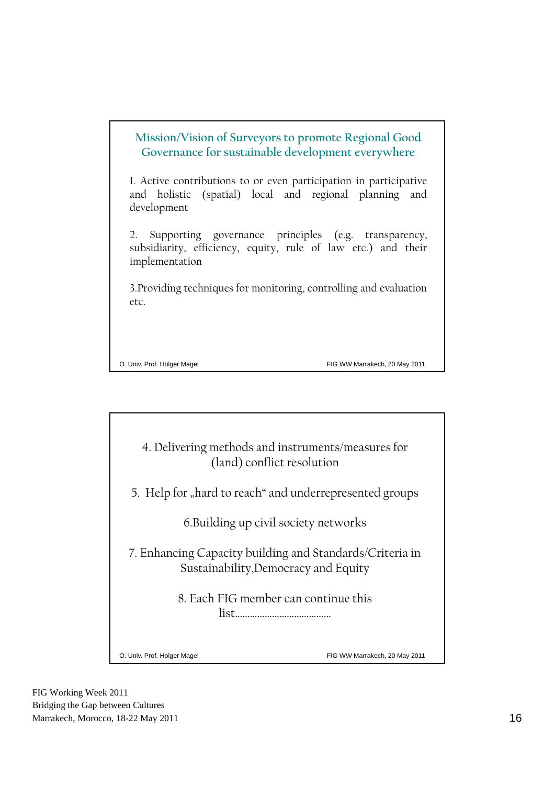| Mission/Vision of Surveyors to promote Regional Good<br>Governance for sustainable development everywhere                                  |
|--------------------------------------------------------------------------------------------------------------------------------------------|
| 1. Active contributions to or even participation in participative<br>and holistic (spatial) local and regional planning and<br>development |
| 2. Supporting governance principles (e.g. transparency,<br>subsidiarity, efficiency, equity, rule of law etc.) and their<br>implementation |
| 3. Providing techniques for monitoring, controlling and evaluation<br>etc.                                                                 |

O. Univ. Prof. Holger Magel FIG WW Marrakech, 20 May 2011

4. Delivering methods and instruments/measures for (land) conflict resolution

5. Help for "hard to reach" and underrepresented groups

6.Building up civil society networks

7. Enhancing Capacity building and Standards/Criteria in Sustainability,Democracy and Equity

> 8. Each FIG member can continue this list…………………………………

O. Univ. Prof. Holger Magel **FIG WW Marrakech, 20 May 2011**